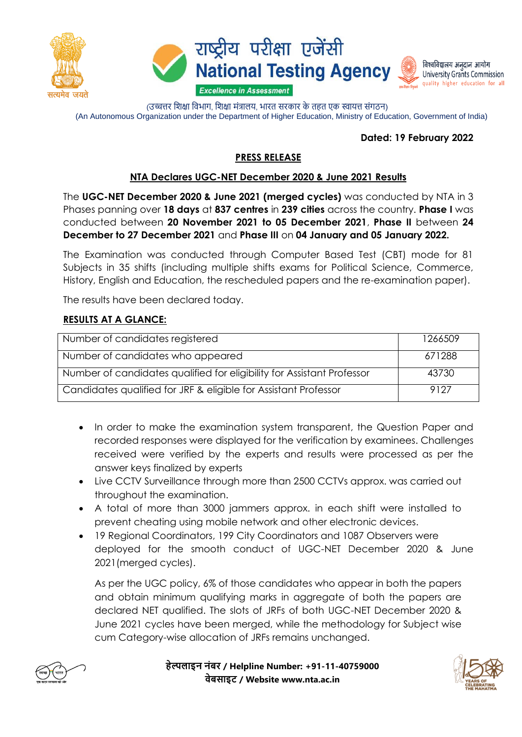





(उच्चत्तर शिक्षा विभाग, शिक्षा मंत्रालय, भारत सरकार के तहत एक स्वायत्त संगठन) (An Autonomous Organization under the Department of Higher Education, Ministry of Education, Government of India)

#### **Dated: 19 February 2022**

## **PRESS RELEASE**

### **NTA Declares UGC-NET December 2020 & June 2021 Results**

The **UGC-NET December 2020 & June 2021 (merged cycles)** was conducted by NTA in 3 Phases panning over **18 days** at **837 centres** in **239 cities** across the country. **Phase I** was conducted between **20 November 2021 to 05 December 2021**, **Phase II** between **24 December to 27 December 2021** and **Phase III** on **04 January and 05 January 2022.**

The Examination was conducted through Computer Based Test (CBT) mode for 81 Subjects in 35 shifts (including multiple shifts exams for Political Science, Commerce, History, English and Education, the rescheduled papers and the re-examination paper).

The results have been declared today.

### **RESULTS AT A GLANCE:**

| Number of candidates registered                                        | 1266509 |
|------------------------------------------------------------------------|---------|
| Number of candidates who appeared                                      | 671288  |
| Number of candidates qualified for eligibility for Assistant Professor | 43730   |
| Candidates qualified for JRF & eligible for Assistant Professor        | 9127    |

- In order to make the examination system transparent, the Question Paper and recorded responses were displayed for the verification by examinees. Challenges received were verified by the experts and results were processed as per the answer keys finalized by experts
- Live CCTV Surveillance through more than 2500 CCTVs approx. was carried out throughout the examination.
- A total of more than 3000 jammers approx. in each shift were installed to prevent cheating using mobile network and other electronic devices.
- 19 Regional Coordinators, 199 City Coordinators and 1087 Observers were deployed for the smooth conduct of UGC-NET December 2020 & June 2021(merged cycles).

As per the UGC policy, 6% of those candidates who appear in both the papers and obtain minimum qualifying marks in aggregate of both the papers are declared NET qualified. The slots of JRFs of both UGC-NET December 2020 & June 2021 cycles have been merged, while the methodology for Subject wise cum Category-wise allocation of JRFs remains unchanged.



**हेल्पलाइन नंबर / Helpline Number: +91-11-40759000 वेबसाइट / Website www.nta.ac.in**

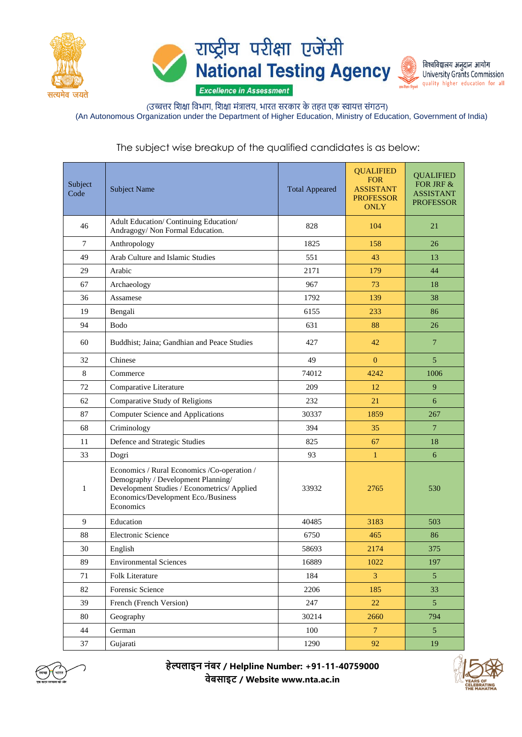





(उच्चत्तर शिक्षा विभाग, शिक्षा मंत्रालय, भारत सरकार के तहत एक स्वायत्त संगठन) (An Autonomous Organization under the Department of Higher Education, Ministry of Education, Government of India)

# The subject wise breakup of the qualified candidates is as below:

| Subject<br>Code | <b>Subject Name</b>                                                                                                                                                                   | <b>Total Appeared</b> | <b>QUALIFIED</b><br><b>FOR</b><br><b>ASSISTANT</b><br><b>PROFESSOR</b><br><b>ONLY</b> | <b>QUALIFIED</b><br>FOR JRF &<br><b>ASSISTANT</b><br><b>PROFESSOR</b> |
|-----------------|---------------------------------------------------------------------------------------------------------------------------------------------------------------------------------------|-----------------------|---------------------------------------------------------------------------------------|-----------------------------------------------------------------------|
| 46              | Adult Education/Continuing Education/<br>Andragogy/ Non Formal Education.                                                                                                             | 828                   | 104                                                                                   | 21                                                                    |
| 7               | Anthropology                                                                                                                                                                          | 1825                  | 158                                                                                   | 26                                                                    |
| 49              | Arab Culture and Islamic Studies                                                                                                                                                      | 551                   | 43                                                                                    | 13                                                                    |
| 29              | Arabic                                                                                                                                                                                | 2171                  | 179                                                                                   | 44                                                                    |
| 67              | Archaeology                                                                                                                                                                           | 967                   | 73                                                                                    | 18                                                                    |
| 36              | Assamese                                                                                                                                                                              | 1792                  | 139                                                                                   | 38                                                                    |
| 19              | Bengali                                                                                                                                                                               | 6155                  | 233                                                                                   | 86                                                                    |
| 94              | Bodo                                                                                                                                                                                  | 631                   | 88                                                                                    | 26                                                                    |
| 60              | Buddhist; Jaina; Gandhian and Peace Studies                                                                                                                                           | 427                   | 42                                                                                    | $\overline{7}$                                                        |
| 32              | Chinese                                                                                                                                                                               | 49                    | $\Omega$                                                                              | 5                                                                     |
| 8               | Commerce                                                                                                                                                                              | 74012                 | 4242                                                                                  | 1006                                                                  |
| 72              | Comparative Literature                                                                                                                                                                | 209                   | 12                                                                                    | 9                                                                     |
| 62              | Comparative Study of Religions                                                                                                                                                        | 232                   | 21                                                                                    | 6                                                                     |
| 87              | <b>Computer Science and Applications</b>                                                                                                                                              | 30337                 | 1859                                                                                  | 267                                                                   |
| 68              | Criminology                                                                                                                                                                           | 394                   | 35                                                                                    | $\overline{7}$                                                        |
| 11              | Defence and Strategic Studies                                                                                                                                                         | 825                   | 67                                                                                    | 18                                                                    |
| 33              | Dogri                                                                                                                                                                                 | 93                    | $\mathbf{1}$                                                                          | 6                                                                     |
| 1               | Economics / Rural Economics / Co-operation /<br>Demography / Development Planning/<br>Development Studies / Econometrics/ Applied<br>Economics/Development Eco./Business<br>Economics | 33932                 | 2765                                                                                  | 530                                                                   |
| 9               | Education                                                                                                                                                                             | 40485                 | 3183                                                                                  | 503                                                                   |
| 88              | <b>Electronic Science</b>                                                                                                                                                             | 6750                  | 465                                                                                   | 86                                                                    |
| 30              | English                                                                                                                                                                               | 58693                 | 2174                                                                                  | 375                                                                   |
| 89              | <b>Environmental Sciences</b>                                                                                                                                                         | 16889                 | 1022                                                                                  | 197                                                                   |
| 71              | Folk Literature                                                                                                                                                                       | 184                   | 3                                                                                     | 5 <sup>5</sup>                                                        |
| 82              | Forensic Science                                                                                                                                                                      | 2206                  | 185                                                                                   | 33                                                                    |
| 39              | French (French Version)                                                                                                                                                               | 247                   | 22                                                                                    | $5\overline{)}$                                                       |
| 80              | Geography                                                                                                                                                                             | 30214                 | 2660                                                                                  | 794                                                                   |
| 44              | German                                                                                                                                                                                | 100                   | $\overline{7}$                                                                        | $5\overline{)}$                                                       |
| 37              | Gujarati                                                                                                                                                                              | 1290                  | 92                                                                                    | 19                                                                    |



**हेल्पलाइन नंबर / Helpline Number: +91-11-40759000 वेबसाइट / Website www.nta.ac.in**

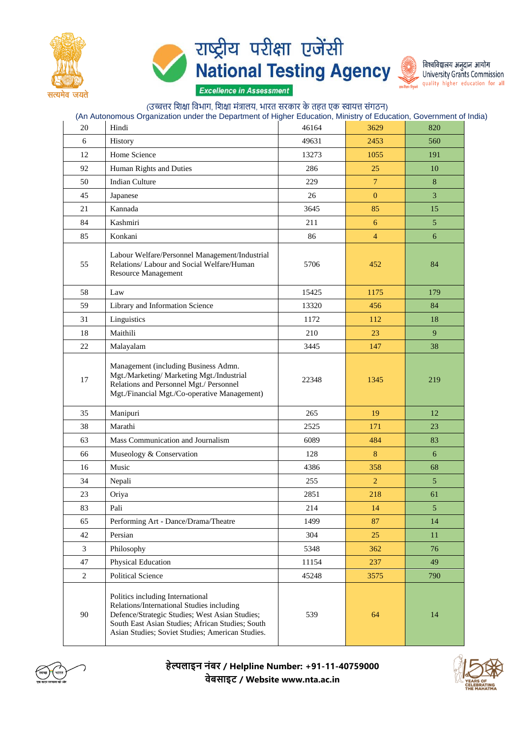





|                | (उच्चत्तर शिक्षा विभाग, शिक्षा मंत्रालय, भारत सरकार के तहत एक स्वायत्त संगठन)<br>(An Autonomous Organization under the Department of Higher Education, Ministry of Education, Government of India)                                      |       |                |                |
|----------------|-----------------------------------------------------------------------------------------------------------------------------------------------------------------------------------------------------------------------------------------|-------|----------------|----------------|
| 20             | Hindi                                                                                                                                                                                                                                   | 46164 | 3629           | 820            |
| 6              | History                                                                                                                                                                                                                                 | 49631 | 2453           | 560            |
| 12             | Home Science                                                                                                                                                                                                                            | 13273 | 1055           | 191            |
| 92             | Human Rights and Duties                                                                                                                                                                                                                 | 286   | 25             | 10             |
| 50             | <b>Indian Culture</b>                                                                                                                                                                                                                   | 229   | $\overline{7}$ | 8              |
| 45             | Japanese                                                                                                                                                                                                                                | 26    | $\overline{0}$ | 3              |
| 21             | Kannada                                                                                                                                                                                                                                 | 3645  | 85             | 15             |
| 84             | Kashmiri                                                                                                                                                                                                                                | 211   | 6              | 5              |
| 85             | Konkani                                                                                                                                                                                                                                 | 86    | $\overline{4}$ | 6              |
| 55             | Labour Welfare/Personnel Management/Industrial<br>Relations/ Labour and Social Welfare/Human<br><b>Resource Management</b>                                                                                                              | 5706  | 452            | 84             |
| 58             | Law                                                                                                                                                                                                                                     | 15425 | 1175           | 179            |
| 59             | Library and Information Science                                                                                                                                                                                                         | 13320 | 456            | 84             |
| 31             | Linguistics                                                                                                                                                                                                                             | 1172  | 112            | 18             |
| 18             | Maithili                                                                                                                                                                                                                                | 210   | 23             | 9              |
| 22             | Malayalam                                                                                                                                                                                                                               | 3445  | 147            | 38             |
| 17             | Management (including Business Admn.<br>Mgt./Marketing/ Marketing Mgt./Industrial<br>Relations and Personnel Mgt./ Personnel<br>Mgt./Financial Mgt./Co-operative Management)                                                            | 22348 | 1345           | 219            |
| 35             | Manipuri                                                                                                                                                                                                                                | 265   | 19             | 12             |
| 38             | Marathi                                                                                                                                                                                                                                 | 2525  | 171            | 23             |
| 63             | Mass Communication and Journalism                                                                                                                                                                                                       | 6089  | 484            | 83             |
| 66             | Museology & Conservation                                                                                                                                                                                                                | 128   | 8              | 6              |
| 16             | Music                                                                                                                                                                                                                                   | 4386  | 358            | 68             |
| 34             | Nepali                                                                                                                                                                                                                                  | 255   | $\overline{2}$ | $\mathfrak{h}$ |
| 23             | Oriya                                                                                                                                                                                                                                   | 2851  | 218            | 61             |
| 83             | Pali                                                                                                                                                                                                                                    | 214   | 14             | $\overline{5}$ |
| 65             | Performing Art - Dance/Drama/Theatre                                                                                                                                                                                                    | 1499  | 87             | 14             |
| 42             | Persian                                                                                                                                                                                                                                 | 304   | 25             | 11             |
| $\overline{3}$ | Philosophy                                                                                                                                                                                                                              | 5348  | 362            | 76             |
| 47             | Physical Education                                                                                                                                                                                                                      | 11154 | 237            | 49             |
| $\overline{2}$ | Political Science                                                                                                                                                                                                                       | 45248 | 3575           | 790            |
| 90             | Politics including International<br>Relations/International Studies including<br>Defence/Strategic Studies; West Asian Studies;<br>South East Asian Studies; African Studies; South<br>Asian Studies; Soviet Studies; American Studies. | 539   | 64             | 14             |